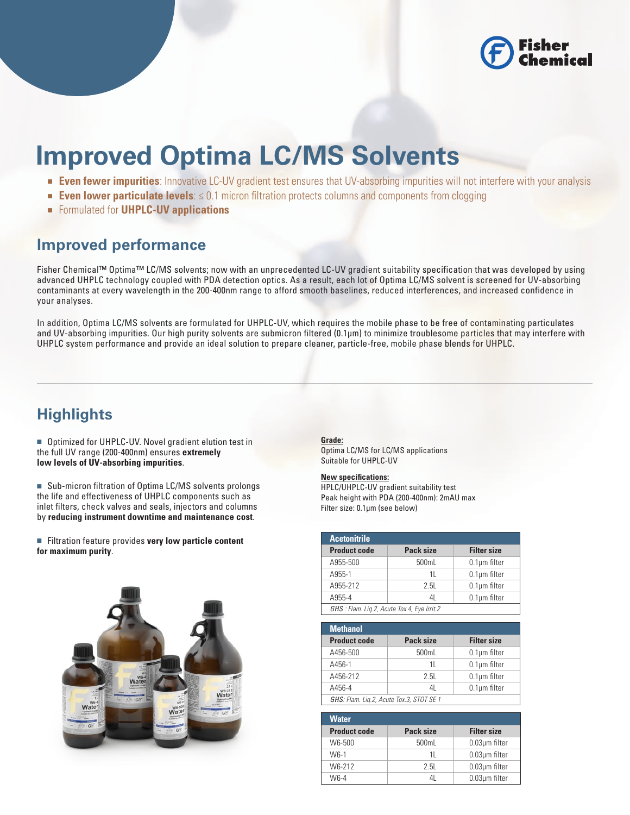

# **Improved Optima LC/MS Solvents**

- **Even fewer impurities**: Innovative LC-UV gradient test ensures that UV-absorbing impurities will not interfere with your analysis
- **Even lower particulate levels:** ≤ 0.1 micron filtration protects columns and components from clogging
- Formulated for **UHPLC-UV applications**

## **Improved performance**

Fisher Chemical™ Optima™ LC/MS solvents; now with an unprecedented LC-UV gradient suitability specification that was developed by using advanced UHPLC technology coupled with PDA detection optics. As a result, each lot of Optima LC/MS solvent is screened for UV-absorbing contaminants at every wavelength in the 200-400nm range to afford smooth baselines, reduced interferences, and increased confidence in your analyses.

In addition, Optima LC/MS solvents are formulated for UHPLC-UV, which requires the mobile phase to be free of contaminating particulates and UV-absorbing impurities. Our high purity solvents are submicron filtered (0.1μm) to minimize troublesome particles that may interfere with UHPLC system performance and provide an ideal solution to prepare cleaner, particle-free, mobile phase blends for UHPLC.

## **Highlights**

■ Optimized for UHPLC-UV. Novel gradient elution test in the full UV range (200-400nm) ensures **extremely low levels of UV-absorbing impurities**.

■ Sub-micron filtration of Optima LC/MS solvents prolongs the life and effectiveness of UHPLC components such as inlet filters, check valves and seals, injectors and columns by **reducing instrument downtime and maintenance cost**.

■ Filtration feature provides **very low particle content for maximum purity**.



## **Grade:**

Optima LC/MS for LC/MS applications Suitable for UHPLC-UV

## **New specifications:**

HPLC/UHPLC-UV gradient suitability test Peak height with PDA (200-400nm): 2mAU max Filter size: 0.1μm (see below)

| <b>Acetonitrile</b>                         |           |                    |  |  |  |  |
|---------------------------------------------|-----------|--------------------|--|--|--|--|
| <b>Product code</b>                         | Pack size | <b>Filter size</b> |  |  |  |  |
| A955-500                                    | 500mL     | $0.1 \mu m$ filter |  |  |  |  |
| A955-1                                      | 11        | $0.1 \mu m$ filter |  |  |  |  |
| A955-212                                    | 2.51      | $0.1 \mu m$ filter |  |  |  |  |
| A955-4                                      | 41        | $0.1 \mu m$ filter |  |  |  |  |
| GHS : Flam. Lig.2, Acute Tox.4, Eye Irrit.2 |           |                    |  |  |  |  |

| <b>Methanol</b>                          |                          |                    |  |  |  |  |
|------------------------------------------|--------------------------|--------------------|--|--|--|--|
| <b>Product code</b>                      | Pack size                | <b>Filter size</b> |  |  |  |  |
| A456-500                                 | 500mL                    | $0.1 \mu m$ filter |  |  |  |  |
| A456-1                                   | 11                       | $0.1 \mu m$ filter |  |  |  |  |
| A456-212                                 | 2 5I                     | $0.1 \mu m$ filter |  |  |  |  |
| A456-4                                   | $0.1 \mu m$ filter<br>41 |                    |  |  |  |  |
| GHS: Flam. Lig.2, Acute Tox.3, STOT SE 1 |                          |                    |  |  |  |  |

| <b>Water</b>        |           |                     |
|---------------------|-----------|---------------------|
| <b>Product code</b> | Pack size | <b>Filter size</b>  |
| W6-500              | 500mL     | $0.03 \mu m$ filter |
| W <sub>6-1</sub>    | 11        | $0.03 \mu m$ filter |
| W6-212              | 2 5I      | $0.03 \mu m$ filter |
| W <sub>6-4</sub>    |           | $0.03 \mu m$ filter |